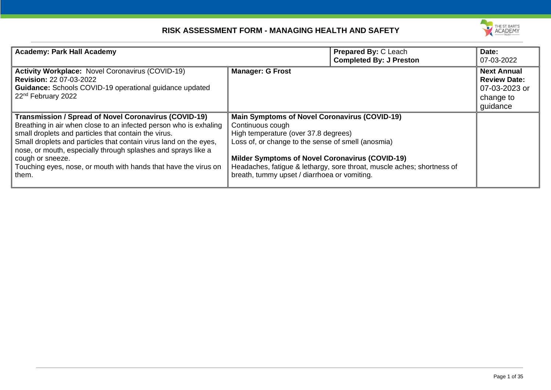

| <b>Academy: Park Hall Academy</b>                                                                                                                                                                                                                                                                                                                                                                                               |                                                                                                                                                                                                                                                                                  | <b>Prepared By: C Leach</b><br><b>Completed By: J Preston</b>          | Date:<br>07-03-2022                                                                 |
|---------------------------------------------------------------------------------------------------------------------------------------------------------------------------------------------------------------------------------------------------------------------------------------------------------------------------------------------------------------------------------------------------------------------------------|----------------------------------------------------------------------------------------------------------------------------------------------------------------------------------------------------------------------------------------------------------------------------------|------------------------------------------------------------------------|-------------------------------------------------------------------------------------|
| Activity Workplace: Novel Coronavirus (COVID-19)<br><b>Revision: 22 07-03-2022</b><br>Guidance: Schools COVID-19 operational guidance updated<br>22 <sup>nd</sup> February 2022                                                                                                                                                                                                                                                 | <b>Manager: G Frost</b>                                                                                                                                                                                                                                                          |                                                                        | <b>Next Annual</b><br><b>Review Date:</b><br>07-03-2023 or<br>change to<br>guidance |
| <b>Transmission / Spread of Novel Coronavirus (COVID-19)</b><br>Breathing in air when close to an infected person who is exhaling<br>small droplets and particles that contain the virus.<br>Small droplets and particles that contain virus land on the eyes,<br>nose, or mouth, especially through splashes and sprays like a<br>cough or sneeze.<br>Touching eyes, nose, or mouth with hands that have the virus on<br>them. | <b>Main Symptoms of Novel Coronavirus (COVID-19)</b><br>Continuous cough<br>High temperature (over 37.8 degrees)<br>Loss of, or change to the sense of smell (anosmia)<br><b>Milder Symptoms of Novel Coronavirus (COVID-19)</b><br>breath, tummy upset / diarrhoea or vomiting. | Headaches, fatigue & lethargy, sore throat, muscle aches; shortness of |                                                                                     |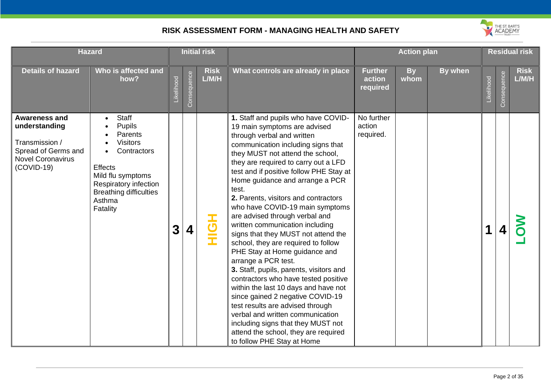

| <b>Hazard</b>                                                                                                              |                                                                                                                                                                                                   | <b>Initial risk</b> |             |                              |                                                                                                                                                                                                                                                                                                                                                                                                                                                                                                                                                                                                                                                                                                                                                                                                                                                                                                                                                     |                                      | <b>Action plan</b> |         |            | <b>Residual risk</b> |                      |  |
|----------------------------------------------------------------------------------------------------------------------------|---------------------------------------------------------------------------------------------------------------------------------------------------------------------------------------------------|---------------------|-------------|------------------------------|-----------------------------------------------------------------------------------------------------------------------------------------------------------------------------------------------------------------------------------------------------------------------------------------------------------------------------------------------------------------------------------------------------------------------------------------------------------------------------------------------------------------------------------------------------------------------------------------------------------------------------------------------------------------------------------------------------------------------------------------------------------------------------------------------------------------------------------------------------------------------------------------------------------------------------------------------------|--------------------------------------|--------------------|---------|------------|----------------------|----------------------|--|
| <b>Details of hazard</b>                                                                                                   | Who is affected and<br>how?                                                                                                                                                                       | Likelihood          | Consequence | <b>Risk</b><br>L/M/H         | What controls are already in place                                                                                                                                                                                                                                                                                                                                                                                                                                                                                                                                                                                                                                                                                                                                                                                                                                                                                                                  | <b>Further</b><br>action<br>required | <b>By</b><br>whom  | By when | Likelihood | Consequence          | <b>Risk</b><br>L/M/H |  |
| <b>Awareness and</b><br>understanding<br>Transmission /<br>Spread of Germs and<br><b>Novel Coronavirus</b><br>$(COVID-19)$ | <b>Staff</b><br><b>Pupils</b><br>Parents<br><b>Visitors</b><br>Contractors<br><b>Effects</b><br>Mild flu symptoms<br>Respiratory infection<br><b>Breathing difficulties</b><br>Asthma<br>Fatality | 3                   | 4           | $\overline{\mathbf{5}}$<br>Ĩ | 1. Staff and pupils who have COVID-<br>19 main symptoms are advised<br>through verbal and written<br>communication including signs that<br>they MUST not attend the school,<br>they are required to carry out a LFD<br>test and if positive follow PHE Stay at<br>Home guidance and arrange a PCR<br>test.<br>2. Parents, visitors and contractors<br>who have COVID-19 main symptoms<br>are advised through verbal and<br>written communication including<br>signs that they MUST not attend the<br>school, they are required to follow<br>PHE Stay at Home guidance and<br>arrange a PCR test.<br>3. Staff, pupils, parents, visitors and<br>contractors who have tested positive<br>within the last 10 days and have not<br>since gained 2 negative COVID-19<br>test results are advised through<br>verbal and written communication<br>including signs that they MUST not<br>attend the school, they are required<br>to follow PHE Stay at Home | No further<br>action<br>required.    |                    |         | 1          |                      |                      |  |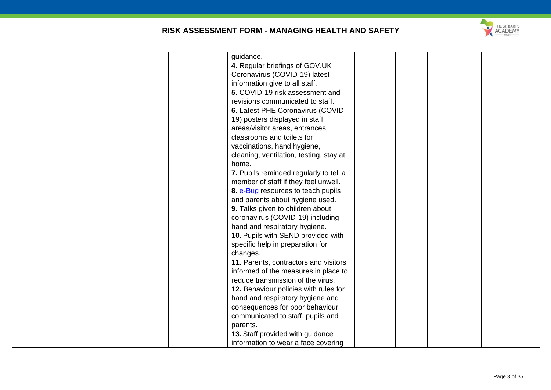

| guidance.                               |
|-----------------------------------------|
| 4. Regular briefings of GOV.UK          |
| Coronavirus (COVID-19) latest           |
| information give to all staff.          |
| 5. COVID-19 risk assessment and         |
| revisions communicated to staff.        |
| 6. Latest PHE Coronavirus (COVID-       |
| 19) posters displayed in staff          |
| areas/visitor areas, entrances,         |
| classrooms and toilets for              |
| vaccinations, hand hygiene,             |
| cleaning, ventilation, testing, stay at |
| home.                                   |
|                                         |
| 7. Pupils reminded regularly to tell a  |
| member of staff if they feel unwell.    |
| 8. e-Bug resources to teach pupils      |
| and parents about hygiene used.         |
| 9. Talks given to children about        |
| coronavirus (COVID-19) including        |
| hand and respiratory hygiene.           |
| 10. Pupils with SEND provided with      |
| specific help in preparation for        |
| changes.                                |
| 11. Parents, contractors and visitors   |
| informed of the measures in place to    |
| reduce transmission of the virus.       |
| 12. Behaviour policies with rules for   |
| hand and respiratory hygiene and        |
| consequences for poor behaviour         |
| communicated to staff, pupils and       |
| parents.                                |
|                                         |
| 13. Staff provided with guidance        |
| information to wear a face covering     |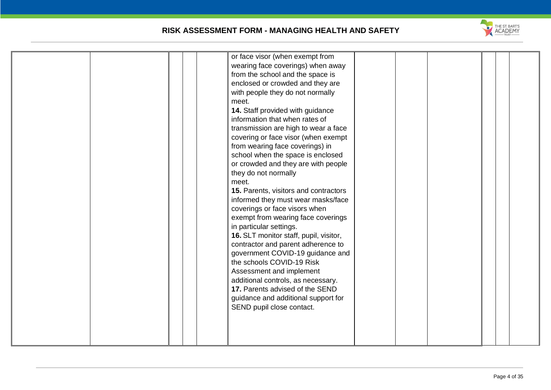

| or face visor (when exempt from<br>wearing face coverings) when away<br>from the school and the space is<br>enclosed or crowded and they are<br>with people they do not normally<br>meet.<br>14. Staff provided with guidance<br>information that when rates of<br>transmission are high to wear a face<br>covering or face visor (when exempt<br>from wearing face coverings) in<br>school when the space is enclosed<br>or crowded and they are with people<br>they do not normally<br>meet. |  |  |
|------------------------------------------------------------------------------------------------------------------------------------------------------------------------------------------------------------------------------------------------------------------------------------------------------------------------------------------------------------------------------------------------------------------------------------------------------------------------------------------------|--|--|
| 16. SLT monitor staff, pupil, visitor,<br>contractor and parent adherence to<br>government COVID-19 guidance and<br>the schools COVID-19 Risk<br>Assessment and implement<br>additional controls, as necessary.<br>17. Parents advised of the SEND<br>guidance and additional support for<br>SEND pupil close contact.                                                                                                                                                                         |  |  |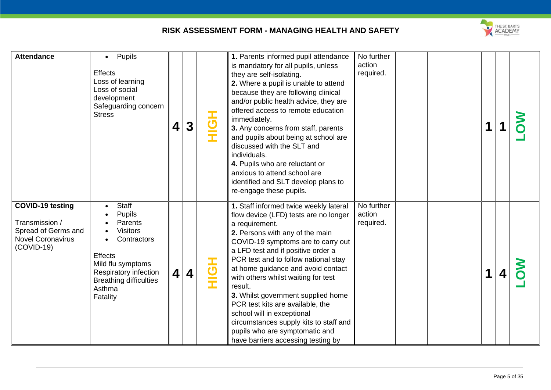

| <b>Attendance</b>                                                                                            | Pupils<br>$\bullet$<br><b>Effects</b><br>Loss of learning<br>Loss of social<br>development<br>Safeguarding concern<br><b>Stress</b>                                                 | 4                       | 3                       | HQH        | 1. Parents informed pupil attendance<br>is mandatory for all pupils, unless<br>they are self-isolating.<br>2. Where a pupil is unable to attend<br>because they are following clinical<br>and/or public health advice, they are<br>offered access to remote education<br>immediately.<br>3. Any concerns from staff, parents<br>and pupils about being at school are<br>discussed with the SLT and<br>individuals.<br>4. Pupils who are reluctant or<br>anxious to attend school are<br>identified and SLT develop plans to<br>re-engage these pupils.                     | No further<br>action<br>required. |  |   |  |
|--------------------------------------------------------------------------------------------------------------|-------------------------------------------------------------------------------------------------------------------------------------------------------------------------------------|-------------------------|-------------------------|------------|----------------------------------------------------------------------------------------------------------------------------------------------------------------------------------------------------------------------------------------------------------------------------------------------------------------------------------------------------------------------------------------------------------------------------------------------------------------------------------------------------------------------------------------------------------------------------|-----------------------------------|--|---|--|
| <b>COVID-19 testing</b><br>Transmission /<br>Spread of Germs and<br><b>Novel Coronavirus</b><br>$(COVID-19)$ | <b>Staff</b><br>Pupils<br>Parents<br><b>Visitors</b><br>Contractors<br>Effects<br>Mild flu symptoms<br>Respiratory infection<br><b>Breathing difficulties</b><br>Asthma<br>Fatality | $\overline{\mathbf{4}}$ | $\overline{\mathbf{4}}$ | <b>HOH</b> | 1. Staff informed twice weekly lateral<br>flow device (LFD) tests are no longer<br>a requirement.<br>2. Persons with any of the main<br>COVID-19 symptoms are to carry out<br>a LFD test and if positive order a<br>PCR test and to follow national stay<br>at home guidance and avoid contact<br>with others whilst waiting for test<br>result.<br>3. Whilst government supplied home<br>PCR test kits are available, the<br>school will in exceptional<br>circumstances supply kits to staff and<br>pupils who are symptomatic and<br>have barriers accessing testing by | No further<br>action<br>required. |  | 4 |  |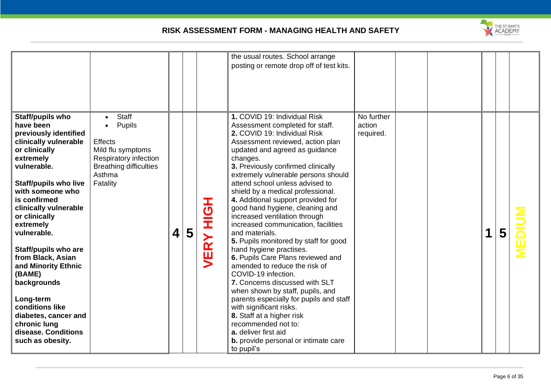

|                                                                                                                                                                                                                                                                                                                                                                                                                                                                                               |                                                                                                                                                            |                         |   |                | the usual routes. School arrange<br>posting or remote drop off of test kits.                                                                                                                                                                                                                                                                                                                                                                                                                                                                                                                                                                                                                                                                                                                                                                                                                                                                                    |                                   |  |   |   |  |
|-----------------------------------------------------------------------------------------------------------------------------------------------------------------------------------------------------------------------------------------------------------------------------------------------------------------------------------------------------------------------------------------------------------------------------------------------------------------------------------------------|------------------------------------------------------------------------------------------------------------------------------------------------------------|-------------------------|---|----------------|-----------------------------------------------------------------------------------------------------------------------------------------------------------------------------------------------------------------------------------------------------------------------------------------------------------------------------------------------------------------------------------------------------------------------------------------------------------------------------------------------------------------------------------------------------------------------------------------------------------------------------------------------------------------------------------------------------------------------------------------------------------------------------------------------------------------------------------------------------------------------------------------------------------------------------------------------------------------|-----------------------------------|--|---|---|--|
| Staff/pupils who<br>have been<br>previously identified<br>clinically vulnerable<br>or clinically<br>extremely<br>vulnerable.<br><b>Staff/pupils who live</b><br>with someone who<br>is confirmed<br>clinically vulnerable<br>or clinically<br>extremely<br>vulnerable.<br><b>Staff/pupils who are</b><br>from Black, Asian<br>and Minority Ethnic<br>(BAME)<br>backgrounds<br>Long-term<br>conditions like<br>diabetes, cancer and<br>chronic lung<br>disease. Conditions<br>such as obesity. | <b>Staff</b><br>$\bullet$<br>Pupils<br><b>Effects</b><br>Mild flu symptoms<br>Respiratory infection<br><b>Breathing difficulties</b><br>Asthma<br>Fatality | $\overline{\mathbf{4}}$ | 5 | エ<br>ひ<br>VERY | 1. COVID 19: Individual Risk<br>Assessment completed for staff.<br>2. COVID 19: Individual Risk<br>Assessment reviewed, action plan<br>updated and agreed as guidance<br>changes.<br>3. Previously confirmed clinically<br>extremely vulnerable persons should<br>attend school unless advised to<br>shield by a medical professional.<br>4. Additional support provided for<br>good hand hygiene, cleaning and<br>increased ventilation through<br>increased communication, facilities<br>and materials.<br>5. Pupils monitored by staff for good<br>hand hygiene practises.<br>6. Pupils Care Plans reviewed and<br>amended to reduce the risk of<br>COVID-19 infection.<br>7. Concerns discussed with SLT<br>when shown by staff, pupils, and<br>parents especially for pupils and staff<br>with significant risks.<br>8. Staff at a higher risk<br>recommended not to:<br>a. deliver first aid<br><b>b.</b> provide personal or intimate care<br>to pupil's | No further<br>action<br>required. |  | 1 | 5 |  |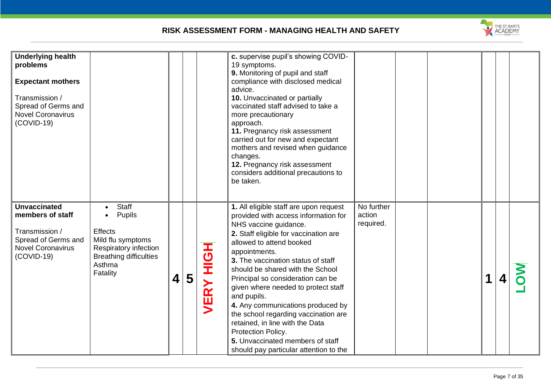

| <b>Underlying health</b><br>problems<br><b>Expectant mothers</b><br>Transmission /<br>Spread of Germs and<br><b>Novel Coronavirus</b><br>$(COVID-19)$ |                                                                                                                                                                  |                         |   |                    | c. supervise pupil's showing COVID-<br>19 symptoms.<br>9. Monitoring of pupil and staff<br>compliance with disclosed medical<br>advice.<br>10. Unvaccinated or partially<br>vaccinated staff advised to take a<br>more precautionary<br>approach.<br>11. Pregnancy risk assessment<br>carried out for new and expectant<br>mothers and revised when guidance<br>changes.<br>12. Pregnancy risk assessment<br>considers additional precautions to<br>be taken.                                                                                                                          |                                   |  |   |   |  |
|-------------------------------------------------------------------------------------------------------------------------------------------------------|------------------------------------------------------------------------------------------------------------------------------------------------------------------|-------------------------|---|--------------------|----------------------------------------------------------------------------------------------------------------------------------------------------------------------------------------------------------------------------------------------------------------------------------------------------------------------------------------------------------------------------------------------------------------------------------------------------------------------------------------------------------------------------------------------------------------------------------------|-----------------------------------|--|---|---|--|
| <b>Unvaccinated</b><br>members of staff<br>Transmission /<br>Spread of Germs and<br><b>Novel Coronavirus</b><br>$(COVID-19)$                          | Staff<br>$\bullet$<br>Pupils<br>$\bullet$<br><b>Effects</b><br>Mild flu symptoms<br>Respiratory infection<br><b>Breathing difficulties</b><br>Asthma<br>Fatality | $\overline{\mathbf{4}}$ | 5 | HộH<br><b>VERY</b> | 1. All eligible staff are upon request<br>provided with access information for<br>NHS vaccine guidance.<br>2. Staff eligible for vaccination are<br>allowed to attend booked<br>appointments.<br>3. The vaccination status of staff<br>should be shared with the School<br>Principal so consideration can be<br>given where needed to protect staff<br>and pupils.<br>4. Any communications produced by<br>the school regarding vaccination are<br>retained, in line with the Data<br>Protection Policy.<br>5. Unvaccinated members of staff<br>should pay particular attention to the | No further<br>action<br>required. |  | 1 | 4 |  |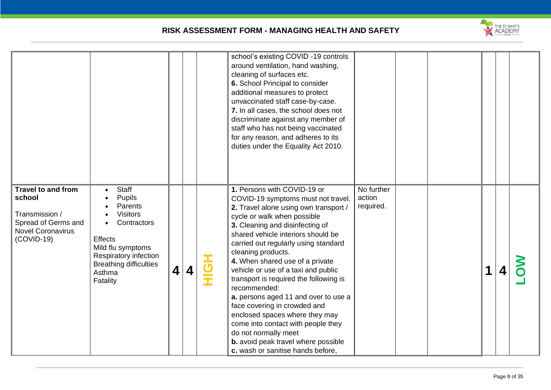

|                                                                                                                          |                                                                                                                                                                                            |                         |   |        | school's existing COVID -19 controls<br>around ventilation, hand washing,<br>cleaning of surfaces etc.<br>6. School Principal to consider<br>additional measures to protect<br>unvaccinated staff case-by-case.<br>7. In all cases, the school does not<br>discriminate against any member of<br>staff who has not being vaccinated<br>for any reason, and adheres to its<br>duties under the Equality Act 2010.                                                                                                                                                                                                                                                                |                                   |  |  |  |
|--------------------------------------------------------------------------------------------------------------------------|--------------------------------------------------------------------------------------------------------------------------------------------------------------------------------------------|-------------------------|---|--------|---------------------------------------------------------------------------------------------------------------------------------------------------------------------------------------------------------------------------------------------------------------------------------------------------------------------------------------------------------------------------------------------------------------------------------------------------------------------------------------------------------------------------------------------------------------------------------------------------------------------------------------------------------------------------------|-----------------------------------|--|--|--|
| <b>Travel to and from</b><br>school<br>Transmission /<br>Spread of Germs and<br><b>Novel Coronavirus</b><br>$(COVID-19)$ | Staff<br><b>Pupils</b><br>Parents<br><b>Visitors</b><br>Contractors<br><b>Effects</b><br>Mild flu symptoms<br>Respiratory infection<br><b>Breathing difficulties</b><br>Asthma<br>Fatality | $\overline{\mathbf{4}}$ | 4 | ー<br>の | 1. Persons with COVID-19 or<br>COVID-19 symptoms must not travel.<br>2. Travel alone using own transport /<br>cycle or walk when possible<br>3. Cleaning and disinfecting of<br>shared vehicle interiors should be<br>carried out regularly using standard<br>cleaning products.<br>4. When shared use of a private<br>vehicle or use of a taxi and public<br>transport is required the following is<br>recommended:<br>a. persons aged 11 and over to use a<br>face covering in crowded and<br>enclosed spaces where they may<br>come into contact with people they<br>do not normally meet<br><b>b.</b> avoid peak travel where possible<br>c. wash or sanitise hands before, | No further<br>action<br>required. |  |  |  |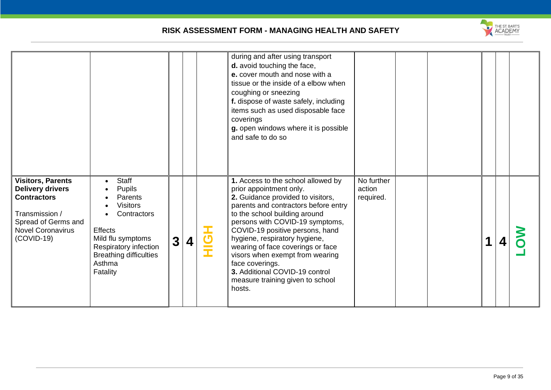

|                                                                                                                                                                |                                                                                                                                                                                           |                |                  |             | during and after using transport<br>d. avoid touching the face,<br>e. cover mouth and nose with a<br>tissue or the inside of a elbow when<br>coughing or sneezing<br>f. dispose of waste safely, including<br>items such as used disposable face<br>coverings<br>g. open windows where it is possible<br>and safe to do so                                                                                                                                    |                                   |  |  |  |
|----------------------------------------------------------------------------------------------------------------------------------------------------------------|-------------------------------------------------------------------------------------------------------------------------------------------------------------------------------------------|----------------|------------------|-------------|---------------------------------------------------------------------------------------------------------------------------------------------------------------------------------------------------------------------------------------------------------------------------------------------------------------------------------------------------------------------------------------------------------------------------------------------------------------|-----------------------------------|--|--|--|
| <b>Visitors, Parents</b><br><b>Delivery drivers</b><br><b>Contractors</b><br>Transmission /<br>Spread of Germs and<br><b>Novel Coronavirus</b><br>$(COVID-19)$ | Staff<br>$\bullet$<br><b>Pupils</b><br>Parents<br>Visitors<br>Contractors<br>Effects<br>Mild flu symptoms<br>Respiratory infection<br><b>Breathing difficulties</b><br>Asthma<br>Fatality | 3 <sup>1</sup> | $\boldsymbol{4}$ | $\mathbf C$ | 1. Access to the school allowed by<br>prior appointment only.<br>2. Guidance provided to visitors,<br>parents and contractors before entry<br>to the school building around<br>persons with COVID-19 symptoms,<br>COVID-19 positive persons, hand<br>hygiene, respiratory hygiene,<br>wearing of face coverings or face<br>visors when exempt from wearing<br>face coverings.<br>3. Additional COVID-19 control<br>measure training given to school<br>hosts. | No further<br>action<br>required. |  |  |  |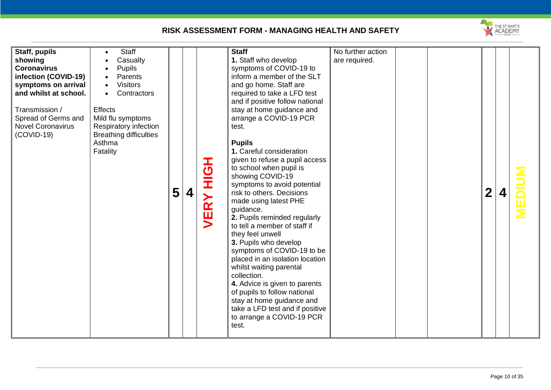

| Staff, pupils<br>showing<br><b>Coronavirus</b><br>infection (COVID-19)<br>symptoms on arrival<br>and whilst at school.<br>Transmission /<br>Spread of Germs and<br><b>Novel Coronavirus</b><br>$(COVID-19)$ | <b>Staff</b><br>Casualty<br><b>Pupils</b><br>$\bullet$<br>Parents<br><b>Visitors</b><br>Contractors<br>$\bullet$<br><b>Effects</b><br>Mild flu symptoms<br>Respiratory infection<br><b>Breathing difficulties</b><br>Asthma<br>Fatality | 5 | $\boldsymbol{4}$ | I<br>$\overline{c}$<br>Í<br>$\mathbf{\tilde{R}}$ | <b>Staff</b><br>1. Staff who develop<br>symptoms of COVID-19 to<br>inform a member of the SLT<br>and go home. Staff are<br>required to take a LFD test<br>and if positive follow national<br>stay at home guidance and<br>arrange a COVID-19 PCR<br>test.<br><b>Pupils</b><br>1. Careful consideration<br>given to refuse a pupil access<br>to school when pupil is<br>showing COVID-19<br>symptoms to avoid potential<br>risk to others. Decisions<br>made using latest PHE<br>guidance.<br>2. Pupils reminded regularly<br>to tell a member of staff if<br>they feel unwell<br>3. Pupils who develop<br>symptoms of COVID-19 to be<br>placed in an isolation location<br>whilst waiting parental<br>collection.<br>4. Advice is given to parents<br>of pupils to follow national<br>stay at home guidance and<br>take a LFD test and if positive<br>to arrange a COVID-19 PCR<br>test. | No further action<br>are required. |  | $\mathbf 2$ |  |  |
|-------------------------------------------------------------------------------------------------------------------------------------------------------------------------------------------------------------|-----------------------------------------------------------------------------------------------------------------------------------------------------------------------------------------------------------------------------------------|---|------------------|--------------------------------------------------|------------------------------------------------------------------------------------------------------------------------------------------------------------------------------------------------------------------------------------------------------------------------------------------------------------------------------------------------------------------------------------------------------------------------------------------------------------------------------------------------------------------------------------------------------------------------------------------------------------------------------------------------------------------------------------------------------------------------------------------------------------------------------------------------------------------------------------------------------------------------------------------|------------------------------------|--|-------------|--|--|
|-------------------------------------------------------------------------------------------------------------------------------------------------------------------------------------------------------------|-----------------------------------------------------------------------------------------------------------------------------------------------------------------------------------------------------------------------------------------|---|------------------|--------------------------------------------------|------------------------------------------------------------------------------------------------------------------------------------------------------------------------------------------------------------------------------------------------------------------------------------------------------------------------------------------------------------------------------------------------------------------------------------------------------------------------------------------------------------------------------------------------------------------------------------------------------------------------------------------------------------------------------------------------------------------------------------------------------------------------------------------------------------------------------------------------------------------------------------------|------------------------------------|--|-------------|--|--|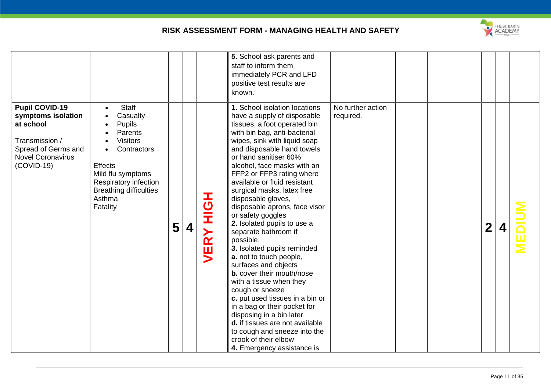

|                                                                                                                                               |                                                                                                                                                                                                                            |   |   |                                                                   | 5. School ask parents and<br>staff to inform them<br>immediately PCR and LFD<br>positive test results are<br>known.                                                                                                                                                                                                                                                                                                                                                                                                                                                                                                                                                                                                                                                                                                                                                                       |                                |  |                  |  |
|-----------------------------------------------------------------------------------------------------------------------------------------------|----------------------------------------------------------------------------------------------------------------------------------------------------------------------------------------------------------------------------|---|---|-------------------------------------------------------------------|-------------------------------------------------------------------------------------------------------------------------------------------------------------------------------------------------------------------------------------------------------------------------------------------------------------------------------------------------------------------------------------------------------------------------------------------------------------------------------------------------------------------------------------------------------------------------------------------------------------------------------------------------------------------------------------------------------------------------------------------------------------------------------------------------------------------------------------------------------------------------------------------|--------------------------------|--|------------------|--|
| <b>Pupil COVID-19</b><br>symptoms isolation<br>at school<br>Transmission /<br>Spread of Germs and<br><b>Novel Coronavirus</b><br>$(COVID-19)$ | <b>Staff</b><br>$\bullet$<br>Casualty<br><b>Pupils</b><br>Parents<br><b>Visitors</b><br>Contractors<br>Effects<br>Mild flu symptoms<br><b>Respiratory infection</b><br><b>Breathing difficulties</b><br>Asthma<br>Fatality | 5 | 4 | $\overline{\mathbf{C}}$<br>Ì<br>≻<br>$\overline{\mathbf{a}}$<br>ш | 1. School isolation locations<br>have a supply of disposable<br>tissues, a foot operated bin<br>with bin bag, anti-bacterial<br>wipes, sink with liquid soap<br>and disposable hand towels<br>or hand sanitiser 60%<br>alcohol, face masks with an<br>FFP2 or FFP3 rating where<br>available or fluid resistant<br>surgical masks, latex free<br>disposable gloves,<br>disposable aprons, face visor<br>or safety goggles<br>2. Isolated pupils to use a<br>separate bathroom if<br>possible.<br>3. Isolated pupils reminded<br>a. not to touch people,<br>surfaces and objects<br><b>b.</b> cover their mouth/nose<br>with a tissue when they<br>cough or sneeze<br>c. put used tissues in a bin or<br>in a bag or their pocket for<br>disposing in a bin later<br>d. if tissues are not available<br>to cough and sneeze into the<br>crook of their elbow<br>4. Emergency assistance is | No further action<br>required. |  | $\boldsymbol{2}$ |  |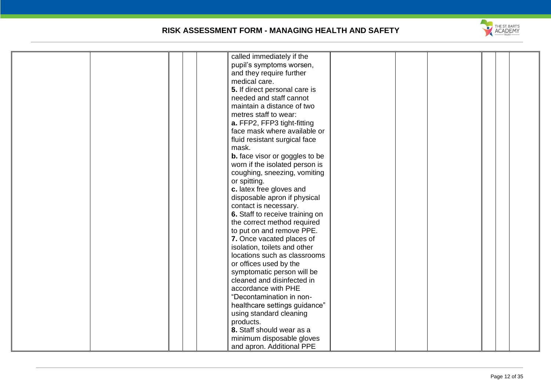

| called immediately if the             |
|---------------------------------------|
| pupil's symptoms worsen,              |
| and they require further              |
| medical care.                         |
| 5. If direct personal care is         |
| needed and staff cannot               |
| maintain a distance of two            |
| metres staff to wear:                 |
| a. FFP2, FFP3 tight-fitting           |
| face mask where available or          |
| fluid resistant surgical face         |
| mask.                                 |
|                                       |
| <b>b.</b> face visor or goggles to be |
| worn if the isolated person is        |
| coughing, sneezing, vomiting          |
| or spitting.                          |
| c. latex free gloves and              |
| disposable apron if physical          |
| contact is necessary.                 |
| 6. Staff to receive training on       |
| the correct method required           |
| to put on and remove PPE.             |
| 7. Once vacated places of             |
| isolation, toilets and other          |
| locations such as classrooms          |
| or offices used by the                |
| symptomatic person will be            |
| cleaned and disinfected in            |
| accordance with PHE                   |
| "Decontamination in non-              |
| healthcare settings guidance"         |
| using standard cleaning               |
|                                       |
| products.                             |
| 8. Staff should wear as a             |
| minimum disposable gloves             |
| and apron. Additional PPE             |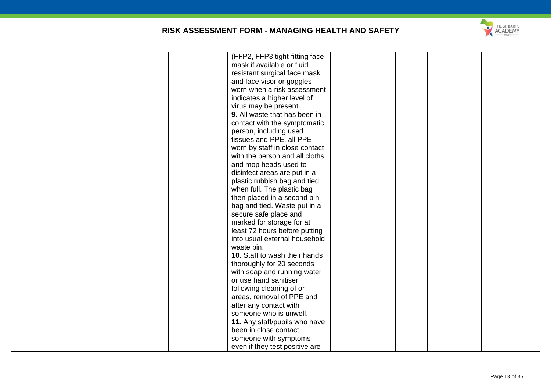

| (FFP2, FFP3 tight-fitting face |
|--------------------------------|
| mask if available or fluid     |
|                                |
| resistant surgical face mask   |
| and face visor or goggles      |
| worn when a risk assessment    |
| indicates a higher level of    |
| virus may be present.          |
| 9. All waste that has been in  |
| contact with the symptomatic   |
| person, including used         |
| tissues and PPE, all PPE       |
| worn by staff in close contact |
| with the person and all cloths |
| and mop heads used to          |
| disinfect areas are put in a   |
| plastic rubbish bag and tied   |
| when full. The plastic bag     |
| then placed in a second bin    |
| bag and tied. Waste put in a   |
| secure safe place and          |
| marked for storage for at      |
| least 72 hours before putting  |
| into usual external household  |
|                                |
| waste bin.                     |
| 10. Staff to wash their hands  |
| thoroughly for 20 seconds      |
| with soap and running water    |
| or use hand sanitiser          |
| following cleaning of or       |
| areas, removal of PPE and      |
| after any contact with         |
| someone who is unwell.         |
| 11. Any staff/pupils who have  |
| been in close contact          |
| someone with symptoms          |
| even if they test positive are |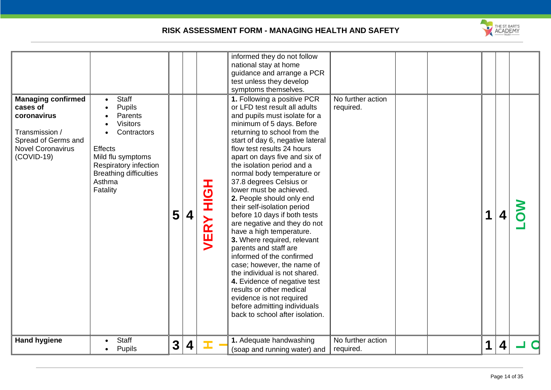

| <b>Managing confirmed</b><br>cases of<br>coronavirus<br>Transmission /<br>Spread of Germs and<br><b>Novel Coronavirus</b><br>$(COVID-19)$ | <b>Staff</b><br>$\bullet$<br><b>Pupils</b><br>Parents<br><b>Visitors</b><br>Contractors<br><b>Effects</b><br>Mild flu symptoms<br>Respiratory infection<br><b>Breathing difficulties</b><br>Asthma<br>Fatality | 5            | 4 | I<br>の<br>王<br><b>VERY</b> | informed they do not follow<br>national stay at home<br>guidance and arrange a PCR<br>test unless they develop<br>symptoms themselves.<br>1. Following a positive PCR<br>or LFD test result all adults<br>and pupils must isolate for a<br>minimum of 5 days. Before<br>returning to school from the<br>start of day 6, negative lateral<br>flow test results 24 hours<br>apart on days five and six of<br>the isolation period and a<br>normal body temperature or<br>37.8 degrees Celsius or<br>lower must be achieved.<br>2. People should only end<br>their self-isolation period<br>before 10 days if both tests<br>are negative and they do not<br>have a high temperature.<br>3. Where required, relevant<br>parents and staff are<br>informed of the confirmed<br>case; however, the name of<br>the individual is not shared.<br>4. Evidence of negative test<br>results or other medical<br>evidence is not required<br>before admitting individuals<br>back to school after isolation. | No further action<br>required. |  |   |  |  |
|-------------------------------------------------------------------------------------------------------------------------------------------|----------------------------------------------------------------------------------------------------------------------------------------------------------------------------------------------------------------|--------------|---|----------------------------|--------------------------------------------------------------------------------------------------------------------------------------------------------------------------------------------------------------------------------------------------------------------------------------------------------------------------------------------------------------------------------------------------------------------------------------------------------------------------------------------------------------------------------------------------------------------------------------------------------------------------------------------------------------------------------------------------------------------------------------------------------------------------------------------------------------------------------------------------------------------------------------------------------------------------------------------------------------------------------------------------|--------------------------------|--|---|--|--|
| <b>Hand hygiene</b>                                                                                                                       | <b>Staff</b><br><b>Pupils</b>                                                                                                                                                                                  | $\mathbf{3}$ | 4 | Œ.                         | 1. Adequate handwashing<br>(soap and running water) and                                                                                                                                                                                                                                                                                                                                                                                                                                                                                                                                                                                                                                                                                                                                                                                                                                                                                                                                          | No further action<br>required. |  | 1 |  |  |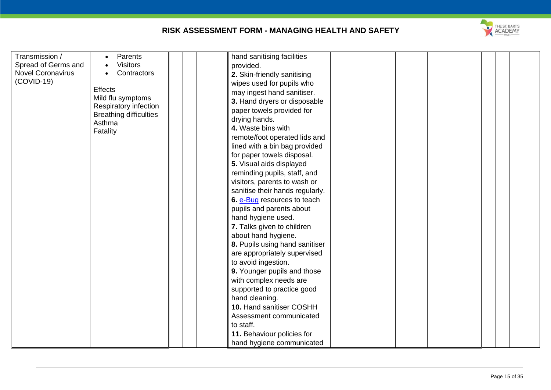| Transmission /           | Parents                                 | hand sanitising facilities      |
|--------------------------|-----------------------------------------|---------------------------------|
| Spread of Germs and      | <b>Visitors</b>                         | provided.                       |
| <b>Novel Coronavirus</b> | Contractors                             | 2. Skin-friendly sanitising     |
| $(COVID-19)$             |                                         | wipes used for pupils who       |
|                          | <b>Effects</b>                          | may ingest hand sanitiser.      |
|                          | Mild flu symptoms                       | 3. Hand dryers or disposable    |
|                          | Respiratory infection                   | paper towels provided for       |
|                          | <b>Breathing difficulties</b><br>Asthma | drying hands.                   |
|                          | Fatality                                | 4. Waste bins with              |
|                          |                                         | remote/foot operated lids and   |
|                          |                                         | lined with a bin bag provided   |
|                          |                                         | for paper towels disposal.      |
|                          |                                         | 5. Visual aids displayed        |
|                          |                                         | reminding pupils, staff, and    |
|                          |                                         | visitors, parents to wash or    |
|                          |                                         | sanitise their hands regularly. |
|                          |                                         | 6. e-Bug resources to teach     |
|                          |                                         | pupils and parents about        |
|                          |                                         | hand hygiene used.              |
|                          |                                         | 7. Talks given to children      |
|                          |                                         | about hand hygiene.             |
|                          |                                         | 8. Pupils using hand sanitiser  |
|                          |                                         | are appropriately supervised    |
|                          |                                         | to avoid ingestion.             |
|                          |                                         | 9. Younger pupils and those     |
|                          |                                         |                                 |
|                          |                                         | with complex needs are          |
|                          |                                         | supported to practice good      |
|                          |                                         | hand cleaning.                  |
|                          |                                         | 10. Hand sanitiser COSHH        |
|                          |                                         | Assessment communicated         |
|                          |                                         | to staff.                       |
|                          |                                         | 11. Behaviour policies for      |
|                          |                                         | hand hygiene communicated       |

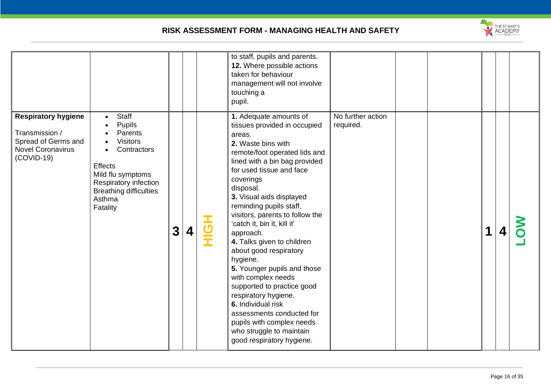

|                                                                                                                 |                                                                                                                                                                                                                |              |   | to staff, pupils and parents.<br>12. Where possible actions<br>taken for behaviour<br>management will not involve<br>touching a<br>pupil.                                                                                                                                                                                                                                                                                                                                                                                                                                                                                                                                    |                                |  |   |  |
|-----------------------------------------------------------------------------------------------------------------|----------------------------------------------------------------------------------------------------------------------------------------------------------------------------------------------------------------|--------------|---|------------------------------------------------------------------------------------------------------------------------------------------------------------------------------------------------------------------------------------------------------------------------------------------------------------------------------------------------------------------------------------------------------------------------------------------------------------------------------------------------------------------------------------------------------------------------------------------------------------------------------------------------------------------------------|--------------------------------|--|---|--|
| <b>Respiratory hygiene</b><br>Transmission /<br>Spread of Germs and<br><b>Novel Coronavirus</b><br>$(COVID-19)$ | <b>Staff</b><br>$\bullet$<br><b>Pupils</b><br>Parents<br><b>Visitors</b><br>Contractors<br><b>Effects</b><br>Mild flu symptoms<br>Respiratory infection<br><b>Breathing difficulties</b><br>Asthma<br>Fatality | $\mathbf{3}$ | 4 | 1. Adequate amounts of<br>tissues provided in occupied<br>areas.<br>2. Waste bins with<br>remote/foot operated lids and<br>lined with a bin bag provided<br>for used tissue and face<br>coverings<br>disposal.<br>3. Visual aids displayed<br>reminding pupils staff,<br>visitors, parents to follow the<br>'catch it, bin it, kill it'<br>approach.<br>4. Talks given to children<br>about good respiratory<br>hygiene.<br>5. Younger pupils and those<br>with complex needs<br>supported to practice good<br>respiratory hygiene.<br>6. Individual risk<br>assessments conducted for<br>pupils with complex needs<br>who struggle to maintain<br>good respiratory hygiene. | No further action<br>required. |  | 1 |  |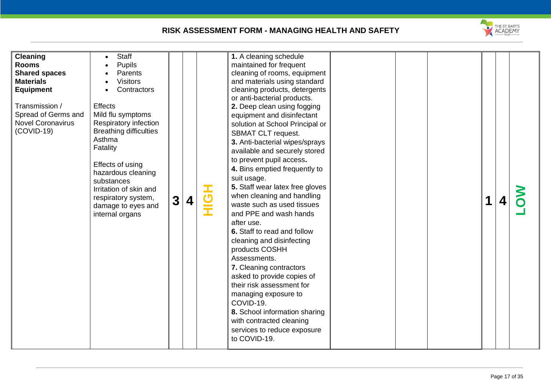

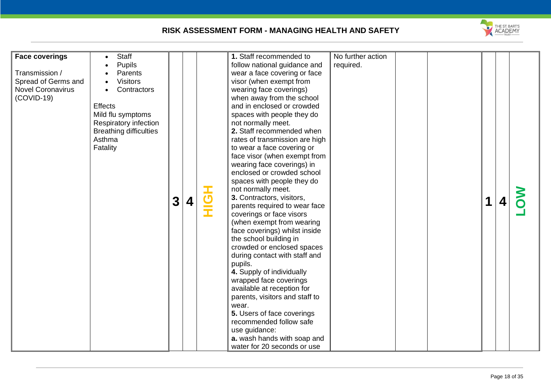

| 1. Staff recommended to<br>No further action<br><b>Face coverings</b><br><b>Staff</b><br><b>Pupils</b><br>follow national guidance and<br>required.<br>Transmission /<br>wear a face covering or face<br>Parents<br>Spread of Germs and<br><b>Visitors</b><br>visor (when exempt from<br><b>Novel Coronavirus</b><br>Contractors<br>wearing face coverings)<br>$(COVID-19)$<br>when away from the school<br>and in enclosed or crowded<br><b>Effects</b><br>spaces with people they do<br>Mild flu symptoms<br><b>Respiratory infection</b><br>not normally meet.<br><b>Breathing difficulties</b><br>2. Staff recommended when<br>Asthma<br>rates of transmission are high<br>Fatality<br>to wear a face covering or<br>face visor (when exempt from<br>wearing face coverings) in<br>enclosed or crowded school<br>spaces with people they do<br>not normally meet.<br>3. Contractors, visitors,<br>U<br>3<br>$\boldsymbol{4}$<br>parents required to wear face<br>coverings or face visors<br>(when exempt from wearing<br>face coverings) whilst inside<br>the school building in<br>crowded or enclosed spaces<br>during contact with staff and<br>pupils.<br>4. Supply of individually<br>wrapped face coverings<br>available at reception for<br>parents, visitors and staff to<br>wear.<br>5. Users of face coverings<br>recommended follow safe<br>use guidance:<br>a. wash hands with soap and<br>water for 20 seconds or use |  |
|-----------------------------------------------------------------------------------------------------------------------------------------------------------------------------------------------------------------------------------------------------------------------------------------------------------------------------------------------------------------------------------------------------------------------------------------------------------------------------------------------------------------------------------------------------------------------------------------------------------------------------------------------------------------------------------------------------------------------------------------------------------------------------------------------------------------------------------------------------------------------------------------------------------------------------------------------------------------------------------------------------------------------------------------------------------------------------------------------------------------------------------------------------------------------------------------------------------------------------------------------------------------------------------------------------------------------------------------------------------------------------------------------------------------------------------------|--|
|-----------------------------------------------------------------------------------------------------------------------------------------------------------------------------------------------------------------------------------------------------------------------------------------------------------------------------------------------------------------------------------------------------------------------------------------------------------------------------------------------------------------------------------------------------------------------------------------------------------------------------------------------------------------------------------------------------------------------------------------------------------------------------------------------------------------------------------------------------------------------------------------------------------------------------------------------------------------------------------------------------------------------------------------------------------------------------------------------------------------------------------------------------------------------------------------------------------------------------------------------------------------------------------------------------------------------------------------------------------------------------------------------------------------------------------------|--|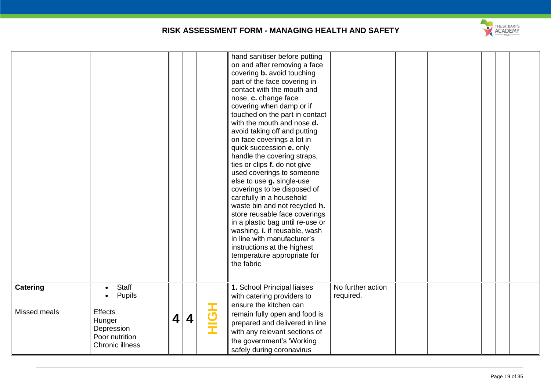

| Catering     | Staff<br>$\bullet$<br>Pupils                                                |   |   |     | nose, c. change face<br>covering when damp or if<br>touched on the part in contact<br>with the mouth and nose <b>d.</b><br>avoid taking off and putting<br>on face coverings a lot in<br>quick succession e. only<br>handle the covering straps,<br>ties or clips f. do not give<br>used coverings to someone<br>else to use g. single-use<br>coverings to be disposed of<br>carefully in a household<br>waste bin and not recycled h.<br>store reusable face coverings<br>in a plastic bag until re-use or<br>washing. i. if reusable, wash<br>in line with manufacturer's<br>instructions at the highest<br>temperature appropriate for<br>the fabric<br>1. School Principal liaises<br>with catering providers to | No further action<br>required. |  |  |  |
|--------------|-----------------------------------------------------------------------------|---|---|-----|----------------------------------------------------------------------------------------------------------------------------------------------------------------------------------------------------------------------------------------------------------------------------------------------------------------------------------------------------------------------------------------------------------------------------------------------------------------------------------------------------------------------------------------------------------------------------------------------------------------------------------------------------------------------------------------------------------------------|--------------------------------|--|--|--|
| Missed meals | <b>Effects</b><br>Hunger<br>Depression<br>Poor nutrition<br>Chronic illness | 4 | 4 | HOH | ensure the kitchen can<br>remain fully open and food is<br>prepared and delivered in line<br>with any relevant sections of<br>the government's 'Working<br>safely during coronavirus                                                                                                                                                                                                                                                                                                                                                                                                                                                                                                                                 |                                |  |  |  |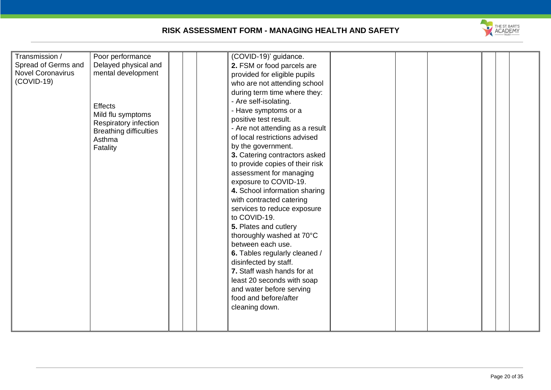

| exposure to COVID-19.<br>4. School information sharing<br>with contracted catering<br>services to reduce exposure<br>to COVID-19.<br>5. Plates and cutlery<br>thoroughly washed at 70°C<br>between each use.<br>6. Tables regularly cleaned /<br>disinfected by staff.<br>7. Staff wash hands for at<br>least 20 seconds with soap<br>and water before serving | Transmission /<br>Poor performance<br>Spread of Germs and<br>Delayed physical and<br><b>Novel Coronavirus</b><br>mental development<br>$(COVID-19)$<br><b>Effects</b><br>Mild flu symptoms<br>Respiratory infection<br><b>Breathing difficulties</b><br>Asthma<br>Fatality | (COVID-19)' guidance.<br>2. FSM or food parcels are<br>provided for eligible pupils<br>who are not attending school<br>during term time where they:<br>- Are self-isolating.<br>- Have symptoms or a<br>positive test result.<br>- Are not attending as a result<br>of local restrictions advised<br>by the government.<br>3. Catering contractors asked<br>to provide copies of their risk<br>assessment for managing |  |  |  |
|----------------------------------------------------------------------------------------------------------------------------------------------------------------------------------------------------------------------------------------------------------------------------------------------------------------------------------------------------------------|----------------------------------------------------------------------------------------------------------------------------------------------------------------------------------------------------------------------------------------------------------------------------|------------------------------------------------------------------------------------------------------------------------------------------------------------------------------------------------------------------------------------------------------------------------------------------------------------------------------------------------------------------------------------------------------------------------|--|--|--|
| cleaning down.                                                                                                                                                                                                                                                                                                                                                 |                                                                                                                                                                                                                                                                            | food and before/after                                                                                                                                                                                                                                                                                                                                                                                                  |  |  |  |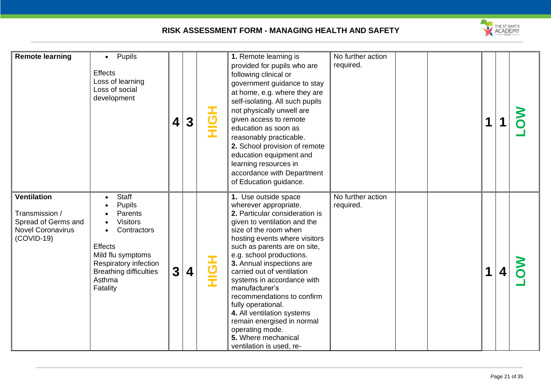

| <b>Remote learning</b>                                                                                  | Pupils<br>$\bullet$<br><b>Effects</b><br>Loss of learning<br>Loss of social<br>development                                                                                                                    | 4                       | 3 | エ<br>コーニ | 1. Remote learning is<br>provided for pupils who are<br>following clinical or<br>government guidance to stay<br>at home, e.g. where they are<br>self-isolating. All such pupils<br>not physically unwell are<br>given access to remote<br>education as soon as<br>reasonably practicable.<br>2. School provision of remote<br>education equipment and<br>learning resources in<br>accordance with Department<br>of Education guidance.                                                                                                 | No further action<br>required. | 1 |   |  |
|---------------------------------------------------------------------------------------------------------|---------------------------------------------------------------------------------------------------------------------------------------------------------------------------------------------------------------|-------------------------|---|----------|----------------------------------------------------------------------------------------------------------------------------------------------------------------------------------------------------------------------------------------------------------------------------------------------------------------------------------------------------------------------------------------------------------------------------------------------------------------------------------------------------------------------------------------|--------------------------------|---|---|--|
| <b>Ventilation</b><br>Transmission /<br>Spread of Germs and<br><b>Novel Coronavirus</b><br>$(COVID-19)$ | <b>Staff</b><br>$\bullet$<br>Pupils<br>Parents<br><b>Visitors</b><br>Contractors<br>$\bullet$<br>Effects<br>Mild flu symptoms<br>Respiratory infection<br><b>Breathing difficulties</b><br>Asthma<br>Fatality | $\overline{\mathbf{3}}$ | 4 | HOH      | 1. Use outside space<br>wherever appropriate.<br>2. Particular consideration is<br>given to ventilation and the<br>size of the room when<br>hosting events where visitors<br>such as parents are on site,<br>e.g. school productions.<br>3. Annual inspections are<br>carried out of ventilation<br>systems in accordance with<br>manufacturer's<br>recommendations to confirm<br>fully operational.<br>4. All ventilation systems<br>remain energised in normal<br>operating mode.<br>5. Where mechanical<br>ventilation is used, re- | No further action<br>required. | 1 | 4 |  |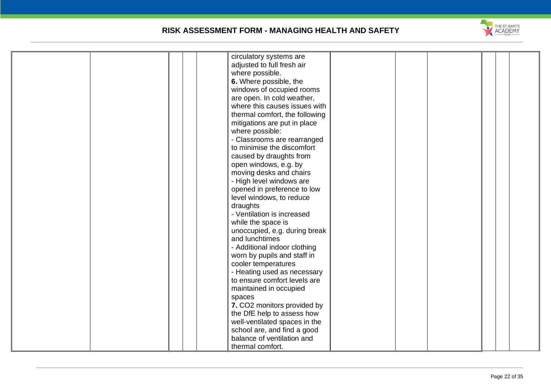

|  | circulatory systems are        |  |  |  |
|--|--------------------------------|--|--|--|
|  | adjusted to full fresh air     |  |  |  |
|  | where possible.                |  |  |  |
|  | 6. Where possible, the         |  |  |  |
|  | windows of occupied rooms      |  |  |  |
|  | are open. In cold weather,     |  |  |  |
|  | where this causes issues with  |  |  |  |
|  | thermal comfort, the following |  |  |  |
|  |                                |  |  |  |
|  | mitigations are put in place   |  |  |  |
|  | where possible:                |  |  |  |
|  | - Classrooms are rearranged    |  |  |  |
|  | to minimise the discomfort     |  |  |  |
|  | caused by draughts from        |  |  |  |
|  | open windows, e.g. by          |  |  |  |
|  | moving desks and chairs        |  |  |  |
|  | - High level windows are       |  |  |  |
|  | opened in preference to low    |  |  |  |
|  | level windows, to reduce       |  |  |  |
|  | draughts                       |  |  |  |
|  | - Ventilation is increased     |  |  |  |
|  | while the space is             |  |  |  |
|  |                                |  |  |  |
|  | unoccupied, e.g. during break  |  |  |  |
|  | and lunchtimes                 |  |  |  |
|  | - Additional indoor clothing   |  |  |  |
|  | worn by pupils and staff in    |  |  |  |
|  | cooler temperatures            |  |  |  |
|  | - Heating used as necessary    |  |  |  |
|  | to ensure comfort levels are   |  |  |  |
|  | maintained in occupied         |  |  |  |
|  | spaces                         |  |  |  |
|  | 7. CO2 monitors provided by    |  |  |  |
|  | the DfE help to assess how     |  |  |  |
|  | well-ventilated spaces in the  |  |  |  |
|  | school are, and find a good    |  |  |  |
|  | balance of ventilation and     |  |  |  |
|  |                                |  |  |  |
|  | thermal comfort.               |  |  |  |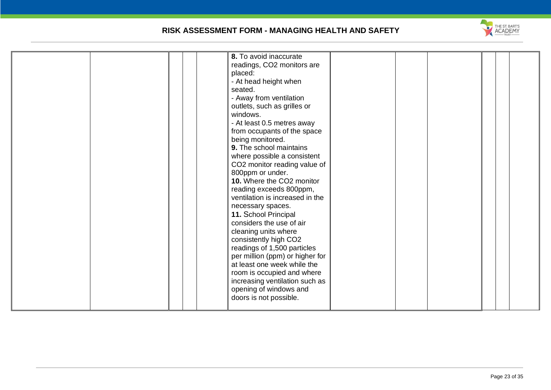

| placed:<br>seated.<br>windows. | 8. To avoid inaccurate<br>readings, CO2 monitors are<br>- At head height when<br>- Away from ventilation<br>outlets, such as grilles or<br>- At least 0.5 metres away<br>from occupants of the space<br>being monitored.<br>9. The school maintains<br>where possible a consistent<br>CO2 monitor reading value of<br>800ppm or under.<br>10. Where the CO2 monitor<br>reading exceeds 800ppm,<br>ventilation is increased in the<br>necessary spaces.<br>11. School Principal<br>considers the use of air<br>cleaning units where<br>consistently high CO2<br>readings of 1,500 particles<br>per million (ppm) or higher for<br>at least one week while the<br>room is occupied and where<br>increasing ventilation such as<br>opening of windows and<br>doors is not possible. |
|--------------------------------|----------------------------------------------------------------------------------------------------------------------------------------------------------------------------------------------------------------------------------------------------------------------------------------------------------------------------------------------------------------------------------------------------------------------------------------------------------------------------------------------------------------------------------------------------------------------------------------------------------------------------------------------------------------------------------------------------------------------------------------------------------------------------------|
|--------------------------------|----------------------------------------------------------------------------------------------------------------------------------------------------------------------------------------------------------------------------------------------------------------------------------------------------------------------------------------------------------------------------------------------------------------------------------------------------------------------------------------------------------------------------------------------------------------------------------------------------------------------------------------------------------------------------------------------------------------------------------------------------------------------------------|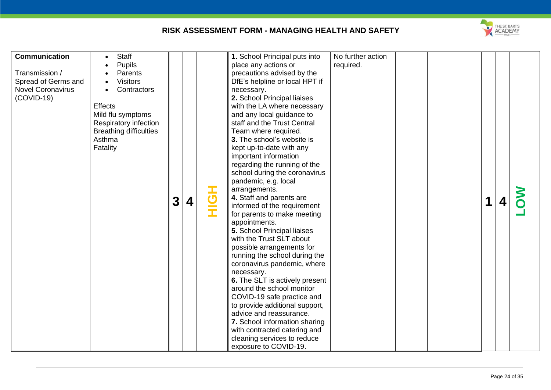

| <b>Communication</b><br>Transmission /<br>Spread of Germs and<br><b>Novel Coronavirus</b><br>$(COVID-19)$ | Staff<br><b>Pupils</b><br>Parents<br><b>Visitors</b><br>Contractors<br><b>Effects</b><br>Mild flu symptoms<br>Respiratory infection<br><b>Breathing difficulties</b><br>Asthma<br>Fatality | $\overline{\mathbf{3}}$ | 4 | <b>HộH</b> | 1. School Principal puts into<br>place any actions or<br>precautions advised by the<br>DfE's helpline or local HPT if<br>necessary.<br>2. School Principal liaises<br>with the LA where necessary<br>and any local guidance to<br>staff and the Trust Central<br>Team where required.<br>3. The school's website is<br>kept up-to-date with any<br>important information<br>regarding the running of the<br>school during the coronavirus<br>pandemic, e.g. local<br>arrangements.<br>4. Staff and parents are<br>informed of the requirement<br>for parents to make meeting<br>appointments.<br>5. School Principal liaises<br>with the Trust SLT about<br>possible arrangements for<br>running the school during the<br>coronavirus pandemic, where<br>necessary.<br>6. The SLT is actively present<br>around the school monitor<br>COVID-19 safe practice and<br>to provide additional support,<br>advice and reassurance.<br>7. School information sharing<br>with contracted catering and<br>cleaning services to reduce<br>exposure to COVID-19. | No further action<br>required. |  |  | 1 |  |  |
|-----------------------------------------------------------------------------------------------------------|--------------------------------------------------------------------------------------------------------------------------------------------------------------------------------------------|-------------------------|---|------------|--------------------------------------------------------------------------------------------------------------------------------------------------------------------------------------------------------------------------------------------------------------------------------------------------------------------------------------------------------------------------------------------------------------------------------------------------------------------------------------------------------------------------------------------------------------------------------------------------------------------------------------------------------------------------------------------------------------------------------------------------------------------------------------------------------------------------------------------------------------------------------------------------------------------------------------------------------------------------------------------------------------------------------------------------------|--------------------------------|--|--|---|--|--|
|-----------------------------------------------------------------------------------------------------------|--------------------------------------------------------------------------------------------------------------------------------------------------------------------------------------------|-------------------------|---|------------|--------------------------------------------------------------------------------------------------------------------------------------------------------------------------------------------------------------------------------------------------------------------------------------------------------------------------------------------------------------------------------------------------------------------------------------------------------------------------------------------------------------------------------------------------------------------------------------------------------------------------------------------------------------------------------------------------------------------------------------------------------------------------------------------------------------------------------------------------------------------------------------------------------------------------------------------------------------------------------------------------------------------------------------------------------|--------------------------------|--|--|---|--|--|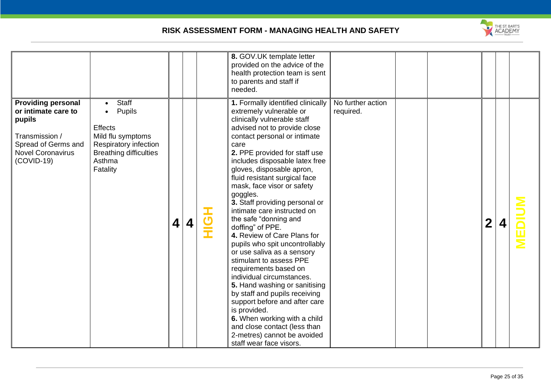

|                                                                                                                                                 |                                                                                                                                                            |   |   | 8. GOV.UK template letter<br>provided on the advice of the<br>health protection team is sent<br>to parents and staff if<br>needed.                                                                                                                                                                                                                                                                                                                                                                                                                                                                                                                                                                                                                                                                                                                                                        |                                |  |                  |  |
|-------------------------------------------------------------------------------------------------------------------------------------------------|------------------------------------------------------------------------------------------------------------------------------------------------------------|---|---|-------------------------------------------------------------------------------------------------------------------------------------------------------------------------------------------------------------------------------------------------------------------------------------------------------------------------------------------------------------------------------------------------------------------------------------------------------------------------------------------------------------------------------------------------------------------------------------------------------------------------------------------------------------------------------------------------------------------------------------------------------------------------------------------------------------------------------------------------------------------------------------------|--------------------------------|--|------------------|--|
| <b>Providing personal</b><br>or intimate care to<br>pupils<br>Transmission /<br>Spread of Germs and<br><b>Novel Coronavirus</b><br>$(COVID-19)$ | <b>Staff</b><br>Pupils<br>$\bullet$<br>Effects<br>Mild flu symptoms<br><b>Respiratory infection</b><br><b>Breathing difficulties</b><br>Asthma<br>Fatality | 4 | 4 | 1. Formally identified clinically<br>extremely vulnerable or<br>clinically vulnerable staff<br>advised not to provide close<br>contact personal or intimate<br>care<br>2. PPE provided for staff use<br>includes disposable latex free<br>gloves, disposable apron,<br>fluid resistant surgical face<br>mask, face visor or safety<br>goggles.<br>3. Staff providing personal or<br>intimate care instructed on<br>the safe "donning and<br>doffing" of PPE.<br>4. Review of Care Plans for<br>pupils who spit uncontrollably<br>or use saliva as a sensory<br>stimulant to assess PPE<br>requirements based on<br>individual circumstances.<br>5. Hand washing or sanitising<br>by staff and pupils receiving<br>support before and after care<br>is provided.<br>6. When working with a child<br>and close contact (less than<br>2-metres) cannot be avoided<br>staff wear face visors. | No further action<br>required. |  | $\boldsymbol{2}$ |  |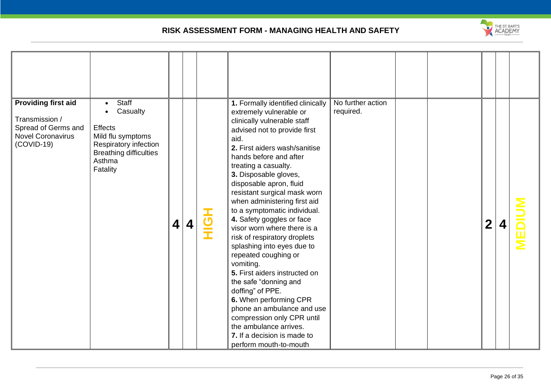

| <b>Providing first aid</b>                                                        | <b>Staff</b>                                                                                                                    |   |   | 1. Formally identified clinically                                                                                                                                                                                                                                                                                                                                                                                                                                                                                                                                                                                                                                                                                                                           | No further action |  |                  |  |  |
|-----------------------------------------------------------------------------------|---------------------------------------------------------------------------------------------------------------------------------|---|---|-------------------------------------------------------------------------------------------------------------------------------------------------------------------------------------------------------------------------------------------------------------------------------------------------------------------------------------------------------------------------------------------------------------------------------------------------------------------------------------------------------------------------------------------------------------------------------------------------------------------------------------------------------------------------------------------------------------------------------------------------------------|-------------------|--|------------------|--|--|
| Transmission /<br>Spread of Germs and<br><b>Novel Coronavirus</b><br>$(COVID-19)$ | Casualty<br><b>Effects</b><br>Mild flu symptoms<br>Respiratory infection<br><b>Breathing difficulties</b><br>Asthma<br>Fatality | 4 | 4 | extremely vulnerable or<br>clinically vulnerable staff<br>advised not to provide first<br>aid.<br>2. First aiders wash/sanitise<br>hands before and after<br>treating a casualty.<br>3. Disposable gloves,<br>disposable apron, fluid<br>resistant surgical mask worn<br>when administering first aid<br>to a symptomatic individual.<br>4. Safety goggles or face<br>visor worn where there is a<br>risk of respiratory droplets<br>splashing into eyes due to<br>repeated coughing or<br>vomiting.<br>5. First aiders instructed on<br>the safe "donning and<br>doffing" of PPE.<br>6. When performing CPR<br>phone an ambulance and use<br>compression only CPR until<br>the ambulance arrives.<br>7. If a decision is made to<br>perform mouth-to-mouth | required.         |  | $\boldsymbol{2}$ |  |  |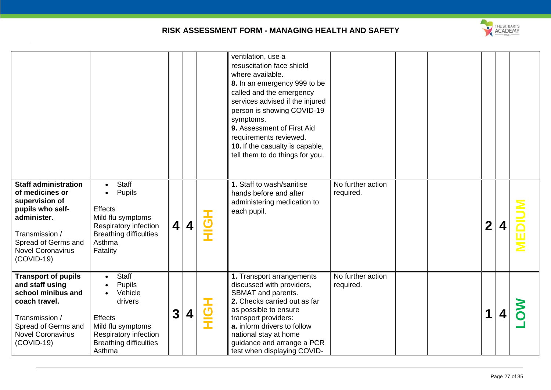

|                                                                                                                                                                                          |                                                                                                                                                                |                         |                         |                        | ventilation, use a<br>resuscitation face shield<br>where available.<br>8. In an emergency 999 to be<br>called and the emergency<br>services advised if the injured<br>person is showing COVID-19<br>symptoms.<br>9. Assessment of First Aid<br>requirements reviewed.<br>10. If the casualty is capable,<br>tell them to do things for you. |                                |  |                  |  |
|------------------------------------------------------------------------------------------------------------------------------------------------------------------------------------------|----------------------------------------------------------------------------------------------------------------------------------------------------------------|-------------------------|-------------------------|------------------------|---------------------------------------------------------------------------------------------------------------------------------------------------------------------------------------------------------------------------------------------------------------------------------------------------------------------------------------------|--------------------------------|--|------------------|--|
| <b>Staff administration</b><br>of medicines or<br>supervision of<br>pupils who self-<br>administer.<br>Transmission /<br>Spread of Germs and<br><b>Novel Coronavirus</b><br>$(COVID-19)$ | <b>Staff</b><br>Pupils<br><b>Effects</b><br>Mild flu symptoms<br>Respiratory infection<br><b>Breathing difficulties</b><br>Asthma<br>Fatality                  | $\overline{\mathbf{4}}$ | $\overline{\mathbf{4}}$ | $\frac{1}{\mathbf{C}}$ | 1. Staff to wash/sanitise<br>hands before and after<br>administering medication to<br>each pupil.                                                                                                                                                                                                                                           | No further action<br>required. |  | $\boldsymbol{2}$ |  |
| <b>Transport of pupils</b><br>and staff using<br>school minibus and<br>coach travel.<br>Transmission /<br>Spread of Germs and<br><b>Novel Coronavirus</b><br>$(COVID-19)$                | <b>Staff</b><br><b>Pupils</b><br>Vehicle<br>drivers<br><b>Effects</b><br>Mild flu symptoms<br>Respiratory infection<br><b>Breathing difficulties</b><br>Asthma | 3                       | 4                       | <u>の子</u>              | 1. Transport arrangements<br>discussed with providers,<br>SBMAT and parents.<br>2. Checks carried out as far<br>as possible to ensure<br>transport providers:<br>a. inform drivers to follow<br>national stay at home<br>guidance and arrange a PCR<br>test when displaying COVID-                                                          | No further action<br>required. |  | 1                |  |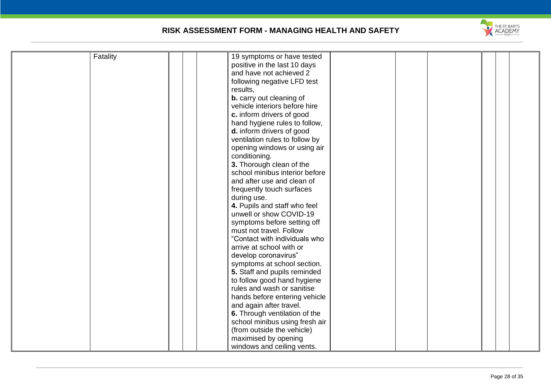

| Fatality | 19 symptoms or have tested      |
|----------|---------------------------------|
|          | positive in the last 10 days    |
|          | and have not achieved 2         |
|          | following negative LFD test     |
|          | results,                        |
|          | <b>b.</b> carry out cleaning of |
|          | vehicle interiors before hire   |
|          | c. inform drivers of good       |
|          | hand hygiene rules to follow,   |
|          | d. inform drivers of good       |
|          | ventilation rules to follow by  |
|          | opening windows or using air    |
|          | conditioning.                   |
|          | 3. Thorough clean of the        |
|          | school minibus interior before  |
|          | and after use and clean of      |
|          | frequently touch surfaces       |
|          | during use.                     |
|          | 4. Pupils and staff who feel    |
|          | unwell or show COVID-19         |
|          | symptoms before setting off     |
|          | must not travel. Follow         |
|          |                                 |
|          | "Contact with individuals who   |
|          | arrive at school with or        |
|          | develop coronavirus"            |
|          | symptoms at school section.     |
|          | 5. Staff and pupils reminded    |
|          | to follow good hand hygiene     |
|          | rules and wash or sanitise      |
|          | hands before entering vehicle   |
|          | and again after travel.         |
|          | 6. Through ventilation of the   |
|          | school minibus using fresh air  |
|          | (from outside the vehicle)      |
|          | maximised by opening            |
|          | windows and ceiling vents.      |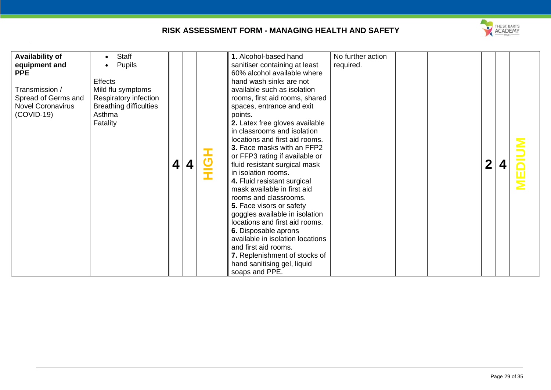

| <b>Availability of</b><br>equipment and<br><b>PPE</b><br>Transmission /<br>Spread of Germs and<br><b>Novel Coronavirus</b><br>$(COVID-19)$ | Staff<br><b>Pupils</b><br><b>Effects</b><br>Mild flu symptoms<br>Respiratory infection<br><b>Breathing difficulties</b><br>Asthma<br>Fatality | 4 | $\boldsymbol{4}$ |  | 1. Alcohol-based hand<br>sanitiser containing at least<br>60% alcohol available where<br>hand wash sinks are not<br>available such as isolation<br>rooms, first aid rooms, shared<br>spaces, entrance and exit<br>points.<br>2. Latex free gloves available<br>in classrooms and isolation<br>locations and first aid rooms.<br>3. Face masks with an FFP2<br>or FFP3 rating if available or<br>fluid resistant surgical mask<br>in isolation rooms.<br>4. Fluid resistant surgical<br>mask available in first aid<br>rooms and classrooms.<br>5. Face visors or safety<br>goggles available in isolation<br>locations and first aid rooms.<br>6. Disposable aprons<br>available in isolation locations<br>and first aid rooms.<br>7. Replenishment of stocks of<br>hand sanitising gel, liquid<br>soaps and PPE. | No further action<br>required. |  |  | $\mathbf 2$ |  |  |
|--------------------------------------------------------------------------------------------------------------------------------------------|-----------------------------------------------------------------------------------------------------------------------------------------------|---|------------------|--|-------------------------------------------------------------------------------------------------------------------------------------------------------------------------------------------------------------------------------------------------------------------------------------------------------------------------------------------------------------------------------------------------------------------------------------------------------------------------------------------------------------------------------------------------------------------------------------------------------------------------------------------------------------------------------------------------------------------------------------------------------------------------------------------------------------------|--------------------------------|--|--|-------------|--|--|
|--------------------------------------------------------------------------------------------------------------------------------------------|-----------------------------------------------------------------------------------------------------------------------------------------------|---|------------------|--|-------------------------------------------------------------------------------------------------------------------------------------------------------------------------------------------------------------------------------------------------------------------------------------------------------------------------------------------------------------------------------------------------------------------------------------------------------------------------------------------------------------------------------------------------------------------------------------------------------------------------------------------------------------------------------------------------------------------------------------------------------------------------------------------------------------------|--------------------------------|--|--|-------------|--|--|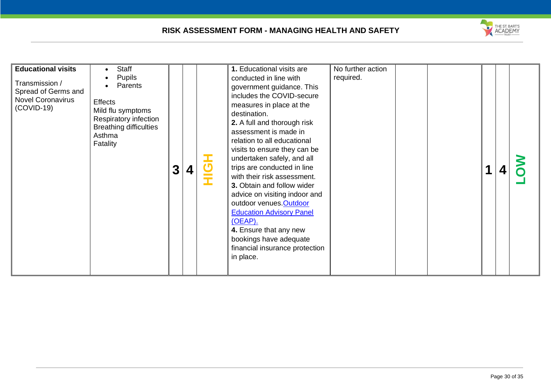

| <b>Educational visits</b><br>Transmission /<br>Spread of Germs and<br><b>Novel Coronavirus</b><br>$(COVID-19)$ | Staff<br><b>Pupils</b><br>Parents<br><b>Effects</b><br>Mild flu symptoms<br>Respiratory infection<br><b>Breathing difficulties</b><br>Asthma<br>Fatality | $\mathbf{3}$ | 4 |  | 1. Educational visits are<br>conducted in line with<br>government guidance. This<br>includes the COVID-secure<br>measures in place at the<br>destination.<br>2. A full and thorough risk<br>assessment is made in<br>relation to all educational<br>visits to ensure they can be<br>undertaken safely, and all<br>trips are conducted in line<br>with their risk assessment.<br>3. Obtain and follow wider<br>advice on visiting indoor and<br>outdoor venues. Outdoor<br><b>Education Advisory Panel</b><br>(OEAP).<br>4. Ensure that any new<br>bookings have adequate<br>financial insurance protection<br>in place. | No further action<br>required. |  |  |  |  |  |
|----------------------------------------------------------------------------------------------------------------|----------------------------------------------------------------------------------------------------------------------------------------------------------|--------------|---|--|-------------------------------------------------------------------------------------------------------------------------------------------------------------------------------------------------------------------------------------------------------------------------------------------------------------------------------------------------------------------------------------------------------------------------------------------------------------------------------------------------------------------------------------------------------------------------------------------------------------------------|--------------------------------|--|--|--|--|--|
|----------------------------------------------------------------------------------------------------------------|----------------------------------------------------------------------------------------------------------------------------------------------------------|--------------|---|--|-------------------------------------------------------------------------------------------------------------------------------------------------------------------------------------------------------------------------------------------------------------------------------------------------------------------------------------------------------------------------------------------------------------------------------------------------------------------------------------------------------------------------------------------------------------------------------------------------------------------------|--------------------------------|--|--|--|--|--|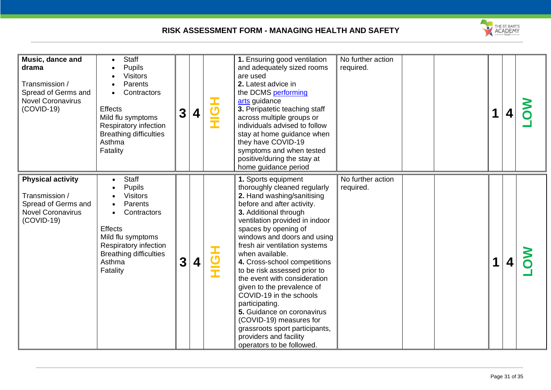

| Music, dance and<br>drama<br>Transmission /<br>Spread of Germs and<br><b>Novel Coronavirus</b><br>$(COVID-19)$ | <b>Staff</b><br><b>Pupils</b><br><b>Visitors</b><br>Parents<br>Contractors<br><b>Effects</b><br>Mild flu symptoms<br>Respiratory infection<br><b>Breathing difficulties</b><br>Asthma<br>Fatality | 3 | 4 | <b>HộH</b> | 1. Ensuring good ventilation<br>and adequately sized rooms<br>are used<br>2. Latest advice in<br>the DCMS performing<br>arts guidance<br>3. Peripatetic teaching staff<br>across multiple groups or<br>individuals advised to follow<br>stay at home guidance when<br>they have COVID-19<br>symptoms and when tested<br>positive/during the stay at<br>home guidance period                                                                                                                                                                                                                                        | No further action<br>required. | 1 |  |
|----------------------------------------------------------------------------------------------------------------|---------------------------------------------------------------------------------------------------------------------------------------------------------------------------------------------------|---|---|------------|--------------------------------------------------------------------------------------------------------------------------------------------------------------------------------------------------------------------------------------------------------------------------------------------------------------------------------------------------------------------------------------------------------------------------------------------------------------------------------------------------------------------------------------------------------------------------------------------------------------------|--------------------------------|---|--|
| <b>Physical activity</b><br>Transmission /<br>Spread of Germs and<br><b>Novel Coronavirus</b><br>$(COVID-19)$  | Staff<br>Pupils<br><b>Visitors</b><br>Parents<br>Contractors<br><b>Effects</b><br>Mild flu symptoms<br>Respiratory infection<br><b>Breathing difficulties</b><br>Asthma<br>Fatality               | 3 | 4 | <b>エの</b>  | 1. Sports equipment<br>thoroughly cleaned regularly<br>2. Hand washing/sanitising<br>before and after activity.<br>3. Additional through<br>ventilation provided in indoor<br>spaces by opening of<br>windows and doors and using<br>fresh air ventilation systems<br>when available.<br>4. Cross-school competitions<br>to be risk assessed prior to<br>the event with consideration<br>given to the prevalence of<br>COVID-19 in the schools<br>participating.<br>5. Guidance on coronavirus<br>(COVID-19) measures for<br>grassroots sport participants,<br>providers and facility<br>operators to be followed. | No further action<br>required. |   |  |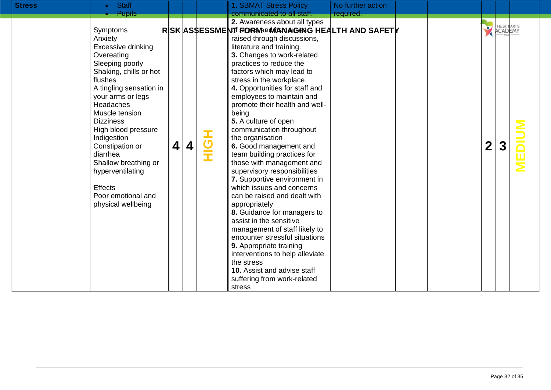| <b>Stress</b> | <b>Staff</b><br>$\bullet$                                                                                                                                                                                                                                                                                                                                                  |   |   |                              | <b>1. SBMAT Stress Policy</b>                                                                                                                                                                                                                                                                                                                                                                                                                                                                                                                                                                                                                                                                                                                                                                                                                     | No further action |                         |                           |  |
|---------------|----------------------------------------------------------------------------------------------------------------------------------------------------------------------------------------------------------------------------------------------------------------------------------------------------------------------------------------------------------------------------|---|---|------------------------------|---------------------------------------------------------------------------------------------------------------------------------------------------------------------------------------------------------------------------------------------------------------------------------------------------------------------------------------------------------------------------------------------------------------------------------------------------------------------------------------------------------------------------------------------------------------------------------------------------------------------------------------------------------------------------------------------------------------------------------------------------------------------------------------------------------------------------------------------------|-------------------|-------------------------|---------------------------|--|
|               | <b>Pupils</b>                                                                                                                                                                                                                                                                                                                                                              |   |   |                              | communicated to all staff.                                                                                                                                                                                                                                                                                                                                                                                                                                                                                                                                                                                                                                                                                                                                                                                                                        | required.         |                         |                           |  |
|               |                                                                                                                                                                                                                                                                                                                                                                            |   |   |                              | 2. Awareness about all types                                                                                                                                                                                                                                                                                                                                                                                                                                                                                                                                                                                                                                                                                                                                                                                                                      |                   |                         |                           |  |
|               | Symptoms                                                                                                                                                                                                                                                                                                                                                                   |   |   |                              | RISK ASSESSMENT FORWARMANAGING HEALTH AND SAFETY                                                                                                                                                                                                                                                                                                                                                                                                                                                                                                                                                                                                                                                                                                                                                                                                  |                   | $\overline{\mathbf{y}}$ | THE ST. BART'S<br>ACADEMY |  |
|               | Anxiety                                                                                                                                                                                                                                                                                                                                                                    |   |   |                              | raised through discussions,                                                                                                                                                                                                                                                                                                                                                                                                                                                                                                                                                                                                                                                                                                                                                                                                                       |                   |                         |                           |  |
|               | Excessive drinking<br>Overeating<br>Sleeping poorly<br>Shaking, chills or hot<br>flushes<br>A tingling sensation in<br>your arms or legs<br>Headaches<br>Muscle tension<br><b>Dizziness</b><br>High blood pressure<br>Indigestion<br>Constipation or<br>diarrhea<br>Shallow breathing or<br>hyperventilating<br><b>Effects</b><br>Poor emotional and<br>physical wellbeing | 4 | 4 | $\overline{\mathbf{C}}$<br>T | literature and training.<br>3. Changes to work-related<br>practices to reduce the<br>factors which may lead to<br>stress in the workplace.<br>4. Opportunities for staff and<br>employees to maintain and<br>promote their health and well-<br>being<br>5. A culture of open<br>communication throughout<br>the organisation<br>6. Good management and<br>team building practices for<br>those with management and<br>supervisory responsibilities<br>7. Supportive environment in<br>which issues and concerns<br>can be raised and dealt with<br>appropriately<br>8. Guidance for managers to<br>assist in the sensitive<br>management of staff likely to<br>encounter stressful situations<br>9. Appropriate training<br>interventions to help alleviate<br>the stress<br>10. Assist and advise staff<br>suffering from work-related<br>stress |                   | $\mathbf 2$             |                           |  |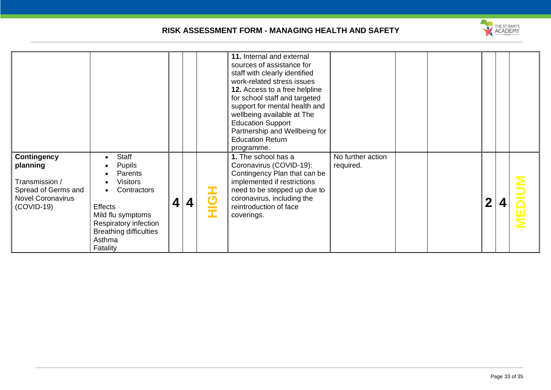

|                                                                                                                     |                                                                                                                                                                                                         |   |   |                                 | 11. Internal and external<br>sources of assistance for<br>staff with clearly identified<br>work-related stress issues<br>12. Access to a free helpline<br>for school staff and targeted<br>support for mental health and<br>wellbeing available at The<br><b>Education Support</b><br>Partnership and Wellbeing for<br><b>Education Return</b><br>programme. |                                |  |             |  |
|---------------------------------------------------------------------------------------------------------------------|---------------------------------------------------------------------------------------------------------------------------------------------------------------------------------------------------------|---|---|---------------------------------|--------------------------------------------------------------------------------------------------------------------------------------------------------------------------------------------------------------------------------------------------------------------------------------------------------------------------------------------------------------|--------------------------------|--|-------------|--|
| <b>Contingency</b><br>planning<br>Transmission /<br>Spread of Germs and<br><b>Novel Coronavirus</b><br>$(COVID-19)$ | Staff<br><b>Pupils</b><br>Parents<br><b>Visitors</b><br>Contractors<br>$\bullet$<br><b>Effects</b><br>Mild flu symptoms<br>Respiratory infection<br><b>Breathing difficulties</b><br>Asthma<br>Fatality | 4 | 4 | I<br>$\boldsymbol{\sigma}$<br>Ì | 1. The school has a<br>Coronavirus (COVID-19):<br>Contingency Plan that can be<br>implemented if restrictions<br>need to be stepped up due to<br>coronavirus, including the<br>reintroduction of face<br>coverings.                                                                                                                                          | No further action<br>required. |  | $\mathbf 2$ |  |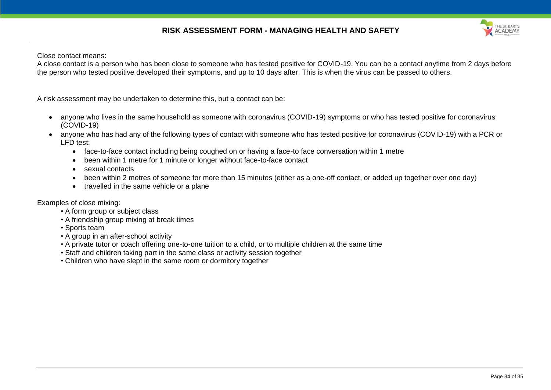

Close contact means:

A close contact is a person who has been close to someone who has tested positive for COVID-19. You can be a contact anytime from 2 days before the person who tested positive developed their symptoms, and up to 10 days after. This is when the virus can be passed to others.

A risk assessment may be undertaken to determine this, but a contact can be:

- anyone who lives in the same household as someone with coronavirus (COVID-19) symptoms or who has tested positive for coronavirus (COVID-19)
- anyone who has had any of the following types of contact with someone who has tested positive for coronavirus (COVID-19) with a PCR or LFD test:
	- face-to-face contact including being coughed on or having a face-to face conversation within 1 metre
	- been within 1 metre for 1 minute or longer without face-to-face contact
	- sexual contacts
	- been within 2 metres of someone for more than 15 minutes (either as a one-off contact, or added up together over one day)
	- travelled in the same vehicle or a plane

Examples of close mixing:

- A form group or subject class
- A friendship group mixing at break times
- Sports team
- A group in an after-school activity
- A private tutor or coach offering one-to-one tuition to a child, or to multiple children at the same time
- Staff and children taking part in the same class or activity session together
- Children who have slept in the same room or dormitory together